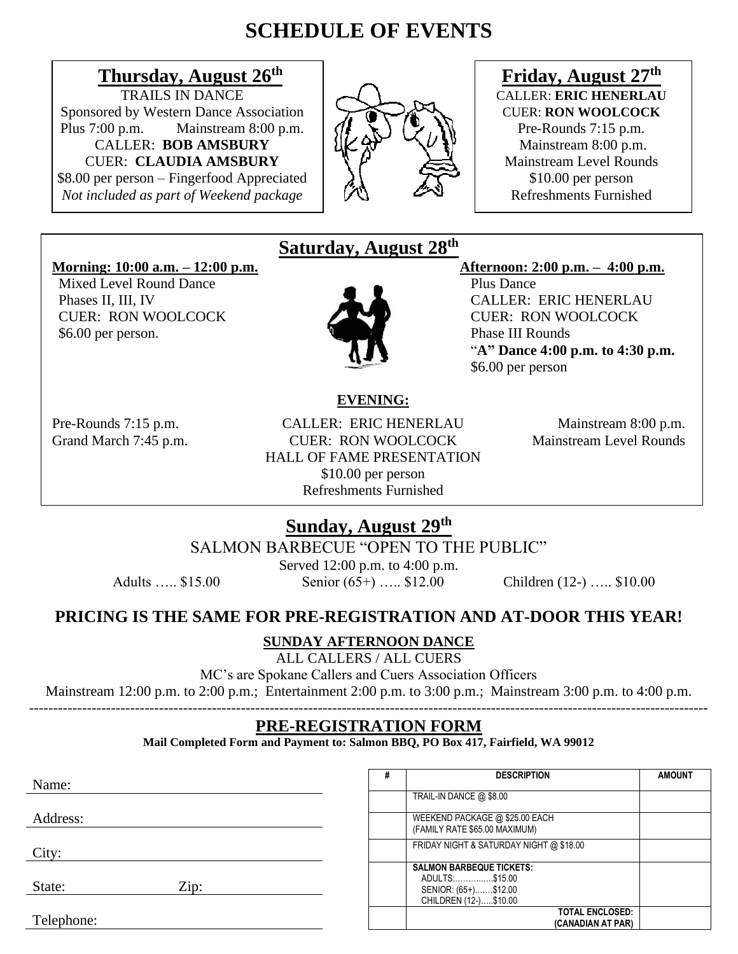# **SCHEDULE OF EVENTS**

# **Thursday, August 26<sup>th</sup> <b>FRAILS IN DANCE**

Sponsored by Western Dance Association **CUER: RON WOOLCOCK** Plus 7:00 p.m. Mainstream 8:00 p.m.  $\left(\prod_{i=1}^{n} \mathbb{Z}_i\right) \left(\prod_{i=1}^{n} \mathbb{Z}_i\right)$  Pre-Rounds 7:15 p.m. CALLER: **BOB AMSBURY**  $\{K \}^{\sim} \{\vee \}\$  | Mainstream 8:00 p.m. **CUER: CLAUDIA AMSBURY**  $\downarrow \qquad \downarrow \qquad \downarrow \qquad \downarrow \qquad \downarrow \qquad$  Mainstream Level Rounds

\$8.00 per person – Fingerfood Appreciated  $\begin{array}{c} \lambda \\ \lambda \end{array}$  \$10.00 per person<br>Not included as part of Weekend package *Not included as part of Weekend package* 



# **Friday, August 27th CALLER: ERIC HENERLAU**

#### **Morning: 10:00 a.m. – 12:00 p.m. Afternoon: 2:00 p.m. – 4:00 p.m.**

Mixed Level Round Dance **Plus Dance** Plus Dance \$6.00 per person. Phase III Rounds

### **Saturday, August 28 th**



Phases II, III, IV CALLER: ERIC HENERLAU CUER: RON WOOLCOCK CUER: RON WOOLCOCK "**A" Dance 4:00 p.m. to 4:30 p.m.** \$6.00 per person

#### **EVENING:**

Pre-Rounds 7:15 p.m. CALLER: ERIC HENERLAU Mainstream 8:00 p.m. Grand March 7:45 p.m. CUER: RON WOOLCOCK Mainstream Level Rounds HALL OF FAME PRESENTATION \$10.00 per person Refreshments Furnished

## **Sunday, August 29 th**

SALMON BARBECUE "OPEN TO THE PUBLIC"

Served 12:00 p.m. to 4:00 p.m. Adults ….. \$15.00 Senior (65+) ….. \$12.00 Children (12-) ….. \$10.00

#### **PRICING IS THE SAME FOR PRE-REGISTRATION AND AT-DOOR THIS YEAR!**

#### **SUNDAY AFTERNOON DANCE**

ALL CALLERS / ALL CUERS

MC's are Spokane Callers and Cuers Association Officers

Mainstream 12:00 p.m. to 2:00 p.m.; Entertainment 2:00 p.m. to 3:00 p.m.; Mainstream 3:00 p.m. to 4:00 p.m.

#### --------------------------------------------------------------------------------------------------------------------------------------------- **PRE-REGISTRATION FORM**

**Mail Completed Form and Payment to: Salmon BBQ, PO Box 417, Fairfield, WA 99012**

| Name:          | ₩ | <b>DESCRIPTION</b>                                                                                 | <b>AMOUNT</b> |
|----------------|---|----------------------------------------------------------------------------------------------------|---------------|
|                |   | TRAIL-IN DANCE @ \$8.00                                                                            |               |
| Address:       |   | WEEKEND PACKAGE @ \$25.00 EACH<br>(FAMILY RATE \$65.00 MAXIMUM)                                    |               |
| City:          |   | FRIDAY NIGHT & SATURDAY NIGHT @ \$18.00                                                            |               |
| Zip:<br>State: |   | <b>SALMON BARBEQUE TICKETS:</b><br>ADULTS:\$15.00<br>SENIOR: (65+)\$12.00<br>CHILDREN (12-)\$10.00 |               |
| Telephone:     |   | <b>TOTAL ENCLOSED:</b><br>(CANADIAN AT PAR)                                                        |               |